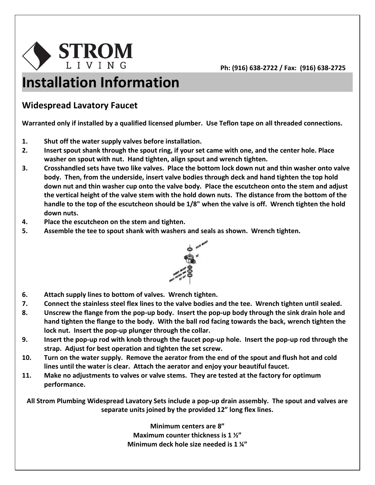

## **Installation Information**

## **Widespread Lavatory Faucet**

**Warranted only if installed by a qualified licensed plumber. Use Teflon tape on all threaded connections.**

- **1. Shut off the water supply valves before installation.**
- **2. Insert spout shank through the spout ring, if your set came with one, and the center hole. Place washer on spout with nut. Hand tighten, align spout and wrench tighten.**
- **3. Crosshandled sets have two like valves. Place the bottom lock down nut and thin washer onto valve body. Then, from the underside, insert valve bodies through deck and hand tighten the top hold down nut and thin washer cup onto the valve body. Place the escutcheon onto the stem and adjust the vertical height of the valve stem with the hold down nuts. The distance from the bottom of the handle to the top of the escutcheon should be 1/8" when the valve is off. Wrench tighten the hold down nuts.**
- **4. Place the escutcheon on the stem and tighten.**
- **5. Assemble the tee to spout shank with washers and seals as shown. Wrench tighten.**



- **6. Attach supply lines to bottom of valves. Wrench tighten.**
- **7. Connect the stainless steel flex lines to the valve bodies and the tee. Wrench tighten until sealed.**
- **8. Unscrew the flange from the pop-up body. Insert the pop-up body through the sink drain hole and hand tighten the flange to the body. With the ball rod facing towards the back, wrench tighten the lock nut. Insert the pop-up plunger through the collar.**
- **9. Insert the pop-up rod with knob through the faucet pop-up hole. Insert the pop-up rod through the strap. Adjust for best operation and tighten the set screw.**
- **10. Turn on the water supply. Remove the aerator from the end of the spout and flush hot and cold lines until the water is clear. Attach the aerator and enjoy your beautiful faucet.**
- **11. Make no adjustments to valves or valve stems. They are tested at the factory for optimum performance.**

**All Strom Plumbing Widespread Lavatory Sets include a pop-up drain assembly. The spout and valves are separate units joined by the provided 12" long flex lines.**

> **Minimum centers are 8" Maximum counter thickness is 1 ½" Minimum deck hole size needed is 1 ¼"**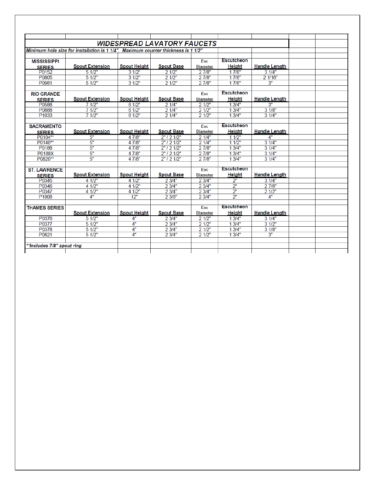|                            |                                                                                   |                     | <b>WIDESPREAD LAVATORY FAUCETS</b> |                 |                   |                         |  |
|----------------------------|-----------------------------------------------------------------------------------|---------------------|------------------------------------|-----------------|-------------------|-------------------------|--|
|                            | Minimum hole size for installation is 1 1/4". Maximum counter thickness is 1 1/2" |                     |                                    |                 |                   |                         |  |
|                            |                                                                                   |                     |                                    |                 | Escutcheon        |                         |  |
| <b>MISSISSIPPI</b>         | <b>Spout Extension</b>                                                            | <b>Spout Height</b> | <b>Spout Base</b>                  | <b>Esc</b>      | <b>Height</b>     | <b>Handle Length</b>    |  |
| <b>SERIES</b>              |                                                                                   |                     |                                    | <b>Diameter</b> |                   |                         |  |
| P0152<br>P0805             | 51/2"<br>51/2"                                                                    | 31/2"<br>31/2"      | 21/2"<br>21/2"                     | 27/8"<br>27/8"  | 17/8"<br>17/8"    | 31/4"<br>$2\sqrt{1/16}$ |  |
|                            |                                                                                   |                     |                                    |                 |                   |                         |  |
| P0981                      | 51/2"                                                                             | 31/2"               | 21/2"                              | 27/8"           | 17/8"             | 3"                      |  |
| <b>RIO GRANDE</b>          |                                                                                   |                     |                                    | Esc             | Escutcheon        |                         |  |
| <b>SERIES</b>              | <b>Spout Extension</b>                                                            | <b>Spout Height</b> | <b>Spout Base</b>                  | <b>Diameter</b> | <b>Height</b>     | <b>Handle Length</b>    |  |
| P0588                      | 71/2"                                                                             | 61/2"               | 21/4"                              | 21/2"           | 13/4"             | 3"                      |  |
| P0888                      | 71/2"                                                                             | 61/2"               | 21/4"                              | 21/2"           | 13/4"             | 31/8"                   |  |
| P <sub>1033</sub>          | 71/2"                                                                             | 61/2"               | 21/4"                              | 21/2"           | 13/4"             | 31/4"                   |  |
|                            |                                                                                   |                     |                                    |                 |                   |                         |  |
| <b>SACRAMENTO</b>          |                                                                                   |                     |                                    | <b>Esc</b>      | <b>Escutcheon</b> |                         |  |
| <b>SERIES</b>              | <b>Spout Extension</b>                                                            | <b>Spout Height</b> | <b>Spout Base</b>                  | <b>Diameter</b> | Height            | <b>Handle Length</b>    |  |
| P0104**                    | 5"                                                                                | 4 7/8"              | 2"12'1/2"                          | 21/4"           | 11/2"             | 4"                      |  |
| P0140**                    | 5"                                                                                | 4 7/8"              | $2"$ / 2 $1/2"$                    | 21/4"           | 11/2"             | 31/4"                   |  |
| P0188                      | 5"                                                                                | 4 7/8"              | $2"$ / 2 $1/2"$                    | 27/8"           | 13/4"             | 31/4"                   |  |
| P0188X                     | 5"                                                                                | 4 7/8"              | $2"$ / 2 1/2"                      | 27/8"           | 13/4"             | 31/4"                   |  |
| P0820**                    | 5"                                                                                | 4 7/8"              | $2"$ / 2 $1/2"$                    | 27/8"           | 13/4"             | 31/4"                   |  |
|                            |                                                                                   |                     |                                    |                 | <b>Escutcheon</b> |                         |  |
| <b>ST. LAWRENCE</b>        |                                                                                   |                     | <b>Spout Base</b>                  | Esc             | <b>Height</b>     | <b>Handle Length</b>    |  |
| <b>SERIES</b>              | <b>Spout Extension</b>                                                            | <b>Spout Height</b> |                                    | <b>Diameter</b> |                   |                         |  |
| P0345                      | 4 1/2"                                                                            | 4 1/2"              | 23/4"                              | 2 3/4"          | 2"                | 31/4"                   |  |
| P0346                      | 4 1/2"                                                                            | 4 1/2"              | 23/4"                              | 23/4"           | 2 <sup>n</sup>    | 27/8"                   |  |
| P0347                      | 4 1/2"                                                                            | 4 1/2"              | 23/4"                              | 23/4"           | $\overline{2}$ "  | 21/2"                   |  |
| P <sub>1008</sub>          | 4"                                                                                | 12"                 | 23/8"                              | 2 3/4"          | $\overline{2}$ "  | 4"                      |  |
| <b>THAMES SERIES</b>       |                                                                                   |                     |                                    | Esc             | Escutcheon        |                         |  |
|                            | <b>Spout Extension</b>                                                            | <b>Spout Height</b> | <b>Spout Base</b>                  | <b>Diameter</b> | <b>Height</b>     | <b>Handle Length</b>    |  |
| P0376                      | 51/2"                                                                             | 4"                  | 23/4"                              | 21/2"           | 13/4"             | 31/4"                   |  |
| P0377                      | 51/2"                                                                             | 4"                  | 23/4"                              | 21/2"           | 13/4"             | 31/2"                   |  |
| P0378                      | 5 1/2"                                                                            | 4"                  | 23/4"                              | 21/2"           | 13/4"             | 31/8"                   |  |
| P0821                      | 51/2"                                                                             | $\overline{A}^n$    | 23/4"                              | 21/2"           | 13/4"             | 3"                      |  |
|                            |                                                                                   |                     |                                    |                 |                   |                         |  |
| **Includes 7/8" spout ring |                                                                                   |                     |                                    |                 |                   |                         |  |
|                            |                                                                                   |                     |                                    |                 |                   |                         |  |